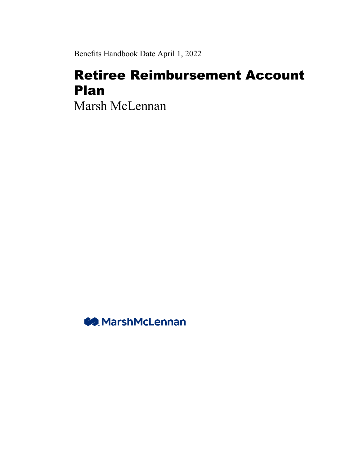Benefits Handbook Date April 1, 2022

# Retiree Reimbursement Account Plan

Marsh McLennan

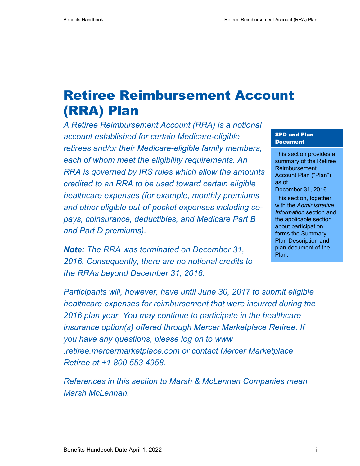# Retiree Reimbursement Account (RRA) Plan

*A Retiree Reimbursement Account (RRA) is a notional account established for certain Medicare-eligible retirees and/or their Medicare-eligible family members, each of whom meet the eligibility requirements. An RRA is governed by IRS rules which allow the amounts credited to an RRA to be used toward certain eligible healthcare expenses (for example, monthly premiums and other eligible out-of-pocket expenses including copays, coinsurance, deductibles, and Medicare Part B and Part D premiums).* 

*Note: The RRA was terminated on December 31, 2016. Consequently, there are no notional credits to the RRAs beyond December 31, 2016.* 

#### SPD and Plan Document

This section provides a summary of the Retiree Reimbursement Account Plan ("Plan") as of December 31, 2016.

This section, together with the *Administrative Information* section and the applicable section about participation, forms the Summary Plan Description and plan document of the Plan.

*Participants will, however, have until June 30, 2017 to submit eligible healthcare expenses for reimbursement that were incurred during the 2016 plan year. You may continue to participate in the healthcare insurance option(s) offered through Mercer Marketplace Retiree. If you have any questions, please log on to www .retiree.mercermarketplace.com or contact Mercer Marketplace Retiree at +1 800 553 4958.* 

*References in this section to Marsh & McLennan Companies mean Marsh McLennan.*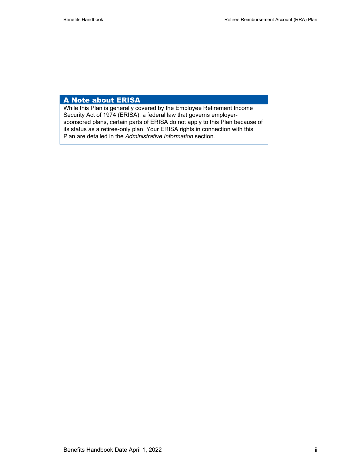#### A Note about ERISA

While this Plan is generally covered by the Employee Retirement Income Security Act of 1974 (ERISA), a federal law that governs employersponsored plans, certain parts of ERISA do not apply to this Plan because of its status as a retiree-only plan. Your ERISA rights in connection with this Plan are detailed in the *Administrative Information* section.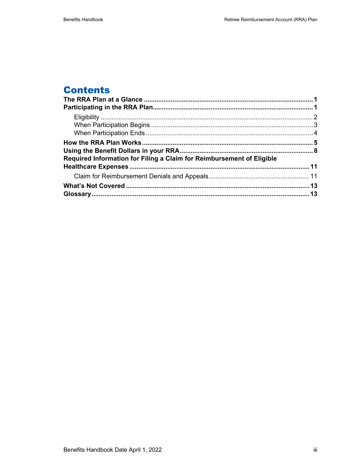# **Contents**

| Required Information for Filing a Claim for Reimbursement of Eligible |  |
|-----------------------------------------------------------------------|--|
|                                                                       |  |
|                                                                       |  |
|                                                                       |  |
|                                                                       |  |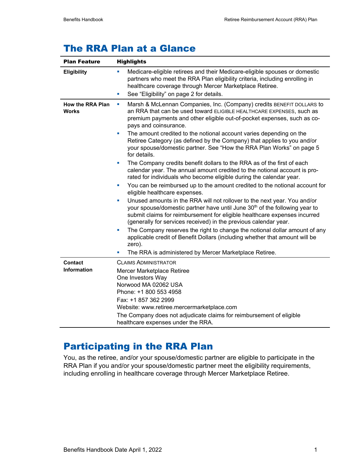# The RRA Plan at a Glance

| <b>Plan Feature</b>                     | <b>Highlights</b>                                                                                                                                                                                                                                                                                                                                                                                                                                                                                                                                                                                                                                                                                                                                                                                                                                                                                                                                                                                                                                                                                                                                                                                                                                                                                                                                                                                                                                 |  |
|-----------------------------------------|---------------------------------------------------------------------------------------------------------------------------------------------------------------------------------------------------------------------------------------------------------------------------------------------------------------------------------------------------------------------------------------------------------------------------------------------------------------------------------------------------------------------------------------------------------------------------------------------------------------------------------------------------------------------------------------------------------------------------------------------------------------------------------------------------------------------------------------------------------------------------------------------------------------------------------------------------------------------------------------------------------------------------------------------------------------------------------------------------------------------------------------------------------------------------------------------------------------------------------------------------------------------------------------------------------------------------------------------------------------------------------------------------------------------------------------------------|--|
| <b>Eligibility</b>                      | Medicare-eligible retirees and their Medicare-eligible spouses or domestic<br>ш<br>partners who meet the RRA Plan eligibility criteria, including enrolling in<br>healthcare coverage through Mercer Marketplace Retiree.<br>See "Eligibility" on page 2 for details.<br>ш                                                                                                                                                                                                                                                                                                                                                                                                                                                                                                                                                                                                                                                                                                                                                                                                                                                                                                                                                                                                                                                                                                                                                                        |  |
| <b>How the RRA Plan</b><br><b>Works</b> | Marsh & McLennan Companies, Inc. (Company) credits BENEFIT DOLLARS to<br>ш<br>an RRA that can be used toward ELIGIBLE HEALTHCARE EXPENSES, such as<br>premium payments and other eligible out-of-pocket expenses, such as co-<br>pays and coinsurance.<br>The amount credited to the notional account varies depending on the<br>ш<br>Retiree Category (as defined by the Company) that applies to you and/or<br>your spouse/domestic partner. See "How the RRA Plan Works" on page 5<br>for details.<br>The Company credits benefit dollars to the RRA as of the first of each<br>×<br>calendar year. The annual amount credited to the notional account is pro-<br>rated for individuals who become eligible during the calendar year.<br>You can be reimbursed up to the amount credited to the notional account for<br>ш<br>eligible healthcare expenses.<br>Unused amounts in the RRA will not rollover to the next year. You and/or<br>$\blacksquare$<br>your spouse/domestic partner have until June 30 <sup>th</sup> of the following year to<br>submit claims for reimbursement for eligible healthcare expenses incurred<br>(generally for services received) in the previous calendar year.<br>The Company reserves the right to change the notional dollar amount of any<br>ш<br>applicable credit of Benefit Dollars (including whether that amount will be<br>zero).<br>The RRA is administered by Mercer Marketplace Retiree.<br>ш |  |
| <b>Contact</b><br>Information           | <b>CLAIMS ADMINISTRATOR</b><br>Mercer Marketplace Retiree<br>One Investors Way<br>Norwood MA 02062 USA<br>Phone: +1 800 553 4958<br>Fax: +1 857 362 2999<br>Website: www.retiree.mercermarketplace.com<br>The Company does not adjudicate claims for reimbursement of eligible<br>healthcare expenses under the RRA.                                                                                                                                                                                                                                                                                                                                                                                                                                                                                                                                                                                                                                                                                                                                                                                                                                                                                                                                                                                                                                                                                                                              |  |

# Participating in the RRA Plan

You, as the retiree, and/or your spouse/domestic partner are eligible to participate in the RRA Plan if you and/or your spouse/domestic partner meet the eligibility requirements, including enrolling in healthcare coverage through Mercer Marketplace Retiree.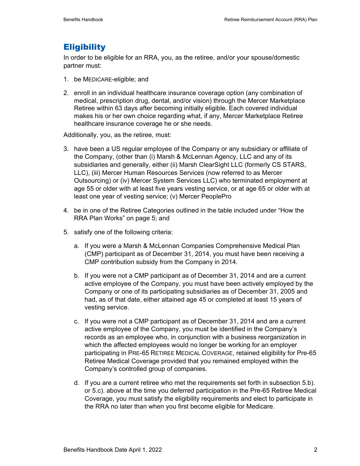### **Eligibility**

In order to be eligible for an RRA, you, as the retiree, and/or your spouse/domestic partner must:

- 1. be MEDICARE-eligible; and
- 2. enroll in an individual healthcare insurance coverage option (any combination of medical, prescription drug, dental, and/or vision) through the Mercer Marketplace Retiree within 63 days after becoming initially eligible. Each covered individual makes his or her own choice regarding what, if any, Mercer Marketplace Retiree healthcare insurance coverage he or she needs.

Additionally, you, as the retiree, must:

- 3. have been a US regular employee of the Company or any subsidiary or affiliate of the Company, (other than (i) Marsh & McLennan Agency, LLC and any of its subsidiaries and generally, either (ii) Marsh ClearSight LLC (formerly CS STARS, LLC), (iii) Mercer Human Resources Services (now referred to as Mercer Outsourcing) or (iv) Mercer System Services LLC) who terminated employment at age 55 or older with at least five years vesting service, or at age 65 or older with at least one year of vesting service; (v) Mercer PeoplePro
- 4. be in one of the Retiree Categories outlined in the table included under "How the RRA Plan Works" on page 5; and
- 5. satisfy one of the following criteria:
	- a. If you were a Marsh & McLennan Companies Comprehensive Medical Plan (CMP) participant as of December 31, 2014, you must have been receiving a CMP contribution subsidy from the Company in 2014.
	- b. If you were not a CMP participant as of December 31, 2014 and are a current active employee of the Company, you must have been actively employed by the Company or one of its participating subsidiaries as of December 31, 2005 and had, as of that date, either attained age 45 or completed at least 15 years of vesting service.
	- c. If you were not a CMP participant as of December 31, 2014 and are a current active employee of the Company, you must be identified in the Company's records as an employee who, in conjunction with a business reorganization in which the affected employees would no longer be working for an employer participating in PRE-65 RETIREE MEDICAL COVERAGE, retained eligibility for Pre-65 Retiree Medical Coverage provided that you remained employed within the Company's controlled group of companies.
	- d. If you are a current retiree who met the requirements set forth in subsection 5.b). or 5.c). above at the time you deferred participation in the Pre-65 Retiree Medical Coverage, you must satisfy the eligibility requirements and elect to participate in the RRA no later than when you first become eligible for Medicare.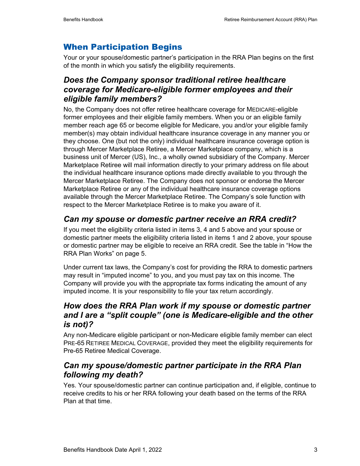# When Participation Begins

Your or your spouse/domestic partner's participation in the RRA Plan begins on the first of the month in which you satisfy the eligibility requirements.

### *Does the Company sponsor traditional retiree healthcare coverage for Medicare-eligible former employees and their eligible family members?*

No, the Company does not offer retiree healthcare coverage for MEDICARE-eligible former employees and their eligible family members. When you or an eligible family member reach age 65 or become eligible for Medicare, you and/or your eligible family member(s) may obtain individual healthcare insurance coverage in any manner you or they choose. One (but not the only) individual healthcare insurance coverage option is through Mercer Marketplace Retiree, a Mercer Marketplace company, which is a business unit of Mercer (US), Inc., a wholly owned subsidiary of the Company. Mercer Marketplace Retiree will mail information directly to your primary address on file about the individual healthcare insurance options made directly available to you through the Mercer Marketplace Retiree. The Company does not sponsor or endorse the Mercer Marketplace Retiree or any of the individual healthcare insurance coverage options available through the Mercer Marketplace Retiree. The Company's sole function with respect to the Mercer Marketplace Retiree is to make you aware of it.

# *Can my spouse or domestic partner receive an RRA credit?*

If you meet the eligibility criteria listed in items 3, 4 and 5 above and your spouse or domestic partner meets the eligibility criteria listed in items 1 and 2 above, your spouse or domestic partner may be eligible to receive an RRA credit. See the table in "How the RRA Plan Works" on page 5.

Under current tax laws, the Company's cost for providing the RRA to domestic partners may result in "imputed income" to you, and you must pay tax on this income. The Company will provide you with the appropriate tax forms indicating the amount of any imputed income. It is your responsibility to file your tax return accordingly.

### *How does the RRA Plan work if my spouse or domestic partner and I are a "split couple" (one is Medicare-eligible and the other is not)?*

Any non-Medicare eligible participant or non-Medicare eligible family member can elect PRE-65 RETIREE MEDICAL COVERAGE, provided they meet the eligibility requirements for Pre-65 Retiree Medical Coverage.

### *Can my spouse/domestic partner participate in the RRA Plan following my death?*

Yes. Your spouse/domestic partner can continue participation and, if eligible, continue to receive credits to his or her RRA following your death based on the terms of the RRA Plan at that time.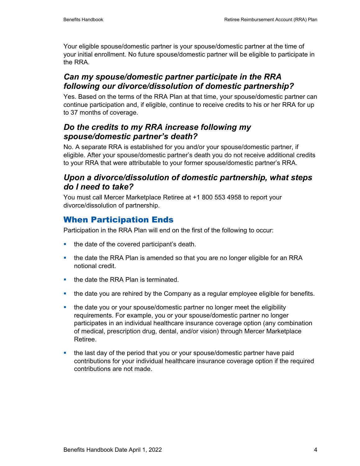Your eligible spouse/domestic partner is your spouse/domestic partner at the time of your initial enrollment. No future spouse/domestic partner will be eligible to participate in the RRA.

### *Can my spouse/domestic partner participate in the RRA following our divorce/dissolution of domestic partnership?*

Yes. Based on the terms of the RRA Plan at that time, your spouse/domestic partner can continue participation and, if eligible, continue to receive credits to his or her RRA for up to 37 months of coverage.

### *Do the credits to my RRA increase following my spouse/domestic partner's death?*

No. A separate RRA is established for you and/or your spouse/domestic partner, if eligible. After your spouse/domestic partner's death you do not receive additional credits to your RRA that were attributable to your former spouse/domestic partner's RRA.

#### *Upon a divorce/dissolution of domestic partnership, what steps do I need to take?*

You must call Mercer Marketplace Retiree at +1 800 553 4958 to report your divorce/dissolution of partnership.

# When Participation Ends

Participation in the RRA Plan will end on the first of the following to occur:

- the date of the covered participant's death.
- **the date the RRA Plan is amended so that you are no longer eligible for an RRA** notional credit.
- the date the RRA Plan is terminated.
- the date you are rehired by the Company as a regular employee eligible for benefits.
- the date you or your spouse/domestic partner no longer meet the eligibility requirements. For example, you or your spouse/domestic partner no longer participates in an individual healthcare insurance coverage option (any combination of medical, prescription drug, dental, and/or vision) through Mercer Marketplace Retiree.
- the last day of the period that you or your spouse/domestic partner have paid contributions for your individual healthcare insurance coverage option if the required contributions are not made.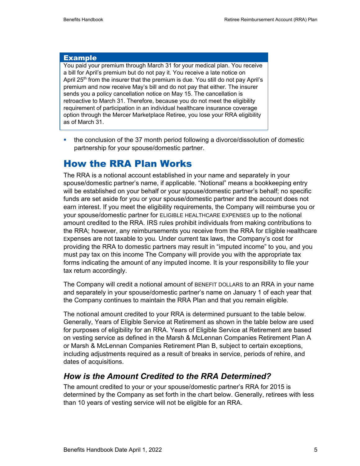#### Example

You paid your premium through March 31 for your medical plan. You receive a bill for April's premium but do not pay it. You receive a late notice on April 25<sup>th</sup> from the insurer that the premium is due. You still do not pay April's premium and now receive May's bill and do not pay that either. The insurer sends you a policy cancellation notice on May 15. The cancellation is retroactive to March 31. Therefore, because you do not meet the eligibility requirement of participation in an individual healthcare insurance coverage option through the Mercer Marketplace Retiree, you lose your RRA eligibility as of March 31.

 the conclusion of the 37 month period following a divorce/dissolution of domestic partnership for your spouse/domestic partner.

### How the RRA Plan Works

The RRA is a notional account established in your name and separately in your spouse/domestic partner's name, if applicable. "Notional" means a bookkeeping entry will be established on your behalf or your spouse/domestic partner's behalf; no specific funds are set aside for you or your spouse/domestic partner and the account does not earn interest. If you meet the eligibility requirements, the Company will reimburse you or your spouse/domestic partner for ELIGIBLE HEALTHCARE EXPENSES up to the notional amount credited to the RRA. IRS rules prohibit individuals from making contributions to the RRA; however, any reimbursements you receive from the RRA for Eligible Healthcare Expenses are not taxable to you. Under current tax laws, the Company's cost for providing the RRA to domestic partners may result in "imputed income" to you, and you must pay tax on this income The Company will provide you with the appropriate tax forms indicating the amount of any imputed income. It is your responsibility to file your tax return accordingly.

The Company will credit a notional amount of BENEFIT DOLLARS to an RRA in your name and separately in your spouse/domestic partner's name on January 1 of each year that the Company continues to maintain the RRA Plan and that you remain eligible.

The notional amount credited to your RRA is determined pursuant to the table below. Generally, Years of Eligible Service at Retirement as shown in the table below are used for purposes of eligibility for an RRA. Years of Eligible Service at Retirement are based on vesting service as defined in the Marsh & McLennan Companies Retirement Plan A or Marsh & McLennan Companies Retirement Plan B, subject to certain exceptions, including adjustments required as a result of breaks in service, periods of rehire, and dates of acquisitions.

#### *How is the Amount Credited to the RRA Determined?*

The amount credited to your or your spouse/domestic partner's RRA for 2015 is determined by the Company as set forth in the chart below. Generally, retirees with less than 10 years of vesting service will not be eligible for an RRA.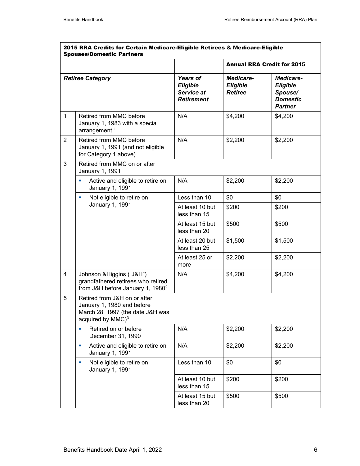| 2015 RRA Credits for Certain Medicare-Eligible Retirees & Medicare-Eligible<br><b>Spouses/Domestic Partners</b> |                                                                                                                                 |                                                                |                                         |                                                                              |
|-----------------------------------------------------------------------------------------------------------------|---------------------------------------------------------------------------------------------------------------------------------|----------------------------------------------------------------|-----------------------------------------|------------------------------------------------------------------------------|
|                                                                                                                 |                                                                                                                                 |                                                                | <b>Annual RRA Credit for 2015</b>       |                                                                              |
|                                                                                                                 | <b>Retiree Category</b>                                                                                                         | <b>Years of</b><br>Eligible<br>Service at<br><b>Retirement</b> | Medicare-<br>Eligible<br><b>Retiree</b> | Medicare-<br><b>Eligible</b><br>Spouse/<br><b>Domestic</b><br><b>Partner</b> |
| $\mathbf{1}$                                                                                                    | Retired from MMC before<br>January 1, 1983 with a special<br>arrangement $1$                                                    | N/A                                                            | \$4,200                                 | \$4,200                                                                      |
| $\overline{2}$                                                                                                  | Retired from MMC before<br>January 1, 1991 (and not eligible<br>for Category 1 above)                                           | N/A                                                            | \$2,200                                 | \$2,200                                                                      |
| 3                                                                                                               | Retired from MMC on or after<br>January 1, 1991                                                                                 |                                                                |                                         |                                                                              |
|                                                                                                                 | Active and eligible to retire on<br>Ľ,<br>January 1, 1991                                                                       | N/A                                                            | \$2,200                                 | \$2,200                                                                      |
|                                                                                                                 | Not eligible to retire on<br>a,                                                                                                 | Less than 10                                                   | \$0                                     | \$0                                                                          |
|                                                                                                                 | January 1, 1991                                                                                                                 | At least 10 but<br>less than 15                                | \$200                                   | \$200                                                                        |
|                                                                                                                 |                                                                                                                                 | At least 15 but<br>less than 20                                | \$500                                   | \$500                                                                        |
|                                                                                                                 |                                                                                                                                 | At least 20 but<br>less than 25                                | \$1,500                                 | \$1,500                                                                      |
|                                                                                                                 |                                                                                                                                 | At least 25 or<br>more                                         | \$2,200                                 | \$2,200                                                                      |
| 4                                                                                                               | Johnson & Higgins ("J&H")<br>grandfathered retirees who retired<br>from J&H before January 1, 1980 <sup>2</sup>                 | N/A                                                            | \$4,200                                 | \$4,200                                                                      |
| 5                                                                                                               | Retired from J&H on or after<br>January 1, 1980 and before<br>March 28, 1997 (the date J&H was<br>acquired by MMC) <sup>3</sup> |                                                                |                                         |                                                                              |
|                                                                                                                 | Retired on or before<br>Ľ,<br>December 31, 1990                                                                                 | N/A                                                            | \$2,200                                 | \$2,200                                                                      |
|                                                                                                                 | Active and eligible to retire on<br>a,<br>January 1, 1991                                                                       | N/A                                                            | \$2,200                                 | \$2,200                                                                      |
|                                                                                                                 | Not eligible to retire on<br>×<br>January 1, 1991                                                                               | Less than 10                                                   | \$0                                     | \$0                                                                          |
|                                                                                                                 |                                                                                                                                 | At least 10 but<br>less than 15                                | \$200                                   | \$200                                                                        |
|                                                                                                                 |                                                                                                                                 | At least 15 but<br>less than 20                                | \$500                                   | \$500                                                                        |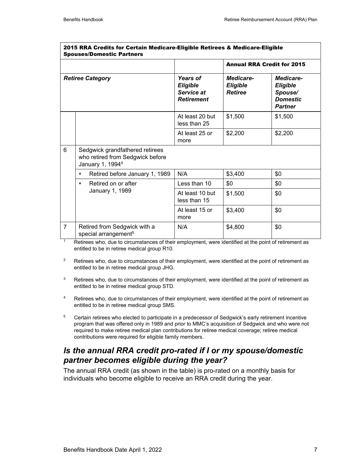| <b>Spouses/Domestic Partners</b> |                                                                                                     |                                                         |                                                |                                                                       |
|----------------------------------|-----------------------------------------------------------------------------------------------------|---------------------------------------------------------|------------------------------------------------|-----------------------------------------------------------------------|
|                                  |                                                                                                     |                                                         | <b>Annual RRA Credit for 2015</b>              |                                                                       |
|                                  | <b>Retiree Category</b>                                                                             | Years of<br>Eligible<br>Service at<br><b>Retirement</b> | Medicare-<br><b>Eligible</b><br><b>Retiree</b> | Medicare-<br>Eligible<br>Spouse/<br><b>Domestic</b><br><b>Partner</b> |
|                                  |                                                                                                     | At least 20 but<br>less than 25                         | \$1,500                                        | \$1,500                                                               |
|                                  |                                                                                                     | At least 25 or<br>more                                  | \$2,200                                        | \$2,200                                                               |
| 6                                | Sedgwick grandfathered retirees<br>who retired from Sedgwick before<br>January 1, 1994 <sup>4</sup> |                                                         |                                                |                                                                       |
|                                  | Retired before January 1, 1989<br>$\mathcal{L}_{\mathcal{A}}$                                       | N/A                                                     | \$3,400                                        | \$0                                                                   |
|                                  | Retired on or after<br>п<br>January 1, 1989                                                         | Less than 10                                            | \$0                                            | \$0                                                                   |
|                                  |                                                                                                     | At least 10 but<br>less than 15                         | \$1,500                                        | \$0                                                                   |
|                                  |                                                                                                     | At least 15 or<br>more                                  | \$3,400                                        | \$0                                                                   |
| $\overline{7}$                   | Retired from Sedgwick with a<br>special arrangement <sup>5</sup>                                    | N/A                                                     | \$4,800                                        | \$0                                                                   |

| 2015 RRA Credits for Certain Medicare-Eligible Retirees & Medicare-Eligible |  |
|-----------------------------------------------------------------------------|--|
| Spouses/Domestic Partners                                                   |  |

Retirees who, due to circumstances of their employment, were identified at the point of retirement as entitled to be in retiree medical group R10.

- <sup>2</sup> Retirees who, due to circumstances of their employment, were identified at the point of retirement as entitled to be in retiree medical group JHG.
- $3$  Retirees who, due to circumstances of their employment, were identified at the point of retirement as entitled to be in retiree medical group STD.
- 4 Retirees who, due to circumstances of their employment, were identified at the point of retirement as entitled to be in retiree medical group SMS.
- <sup>5</sup> Certain retirees who elected to participate in a predecessor of Sedgwick's early retirement incentive program that was offered only in 1989 and prior to MMC's acquisition of Sedgwick and who were not required to make retiree medical plan contributions for retiree medical coverage; retiree medical contributions were required for eligible family members.

#### *Is the annual RRA credit pro-rated if I or my spouse/domestic partner becomes eligible during the year?*

The annual RRA credit (as shown in the table) is pro-rated on a monthly basis for individuals who become eligible to receive an RRA credit during the year.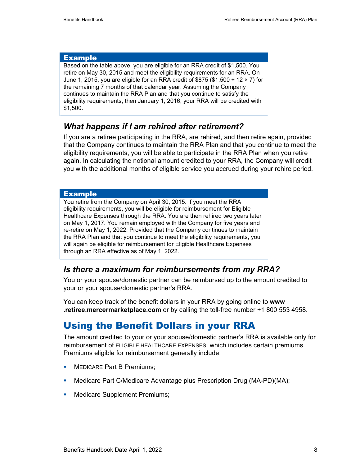#### Example

Based on the table above, you are eligible for an RRA credit of \$1,500. You retire on May 30, 2015 and meet the eligibility requirements for an RRA. On June 1, 2015, you are eligible for an RRA credit of \$875 (\$1,500  $\div$  12  $\times$  7) for the remaining 7 months of that calendar year. Assuming the Company continues to maintain the RRA Plan and that you continue to satisfy the eligibility requirements, then January 1, 2016, your RRA will be credited with \$1,500.

#### *What happens if I am rehired after retirement?*

If you are a retiree participating in the RRA, are rehired, and then retire again, provided that the Company continues to maintain the RRA Plan and that you continue to meet the eligibility requirements, you will be able to participate in the RRA Plan when you retire again. In calculating the notional amount credited to your RRA, the Company will credit you with the additional months of eligible service you accrued during your rehire period.

#### Example

You retire from the Company on April 30, 2015. If you meet the RRA eligibility requirements, you will be eligible for reimbursement for Eligible Healthcare Expenses through the RRA. You are then rehired two years later on May 1, 2017. You remain employed with the Company for five years and re-retire on May 1, 2022. Provided that the Company continues to maintain the RRA Plan and that you continue to meet the eligibility requirements, you will again be eligible for reimbursement for Eligible Healthcare Expenses through an RRA effective as of May 1, 2022.

### *Is there a maximum for reimbursements from my RRA?*

You or your spouse/domestic partner can be reimbursed up to the amount credited to your or your spouse/domestic partner's RRA.

You can keep track of the benefit dollars in your RRA by going online to **www .retiree.mercermarketplace.com** or by calling the toll-free number +1 800 553 4958.

# Using the Benefit Dollars in your RRA

The amount credited to your or your spouse/domestic partner's RRA is available only for reimbursement of ELIGIBLE HEALTHCARE EXPENSES, which includes certain premiums. Premiums eligible for reimbursement generally include:

- **MEDICARE Part B Premiums;**
- Medicare Part C/Medicare Advantage plus Prescription Drug (MA-PD)(MA);
- **Medicare Supplement Premiums;**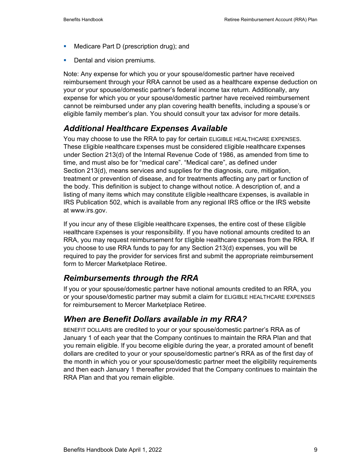- **Medicare Part D (prescription drug); and**
- **Dental and vision premiums.**

Note: Any expense for which you or your spouse/domestic partner have received reimbursement through your RRA cannot be used as a healthcare expense deduction on your or your spouse/domestic partner's federal income tax return. Additionally, any expense for which you or your spouse/domestic partner have received reimbursement cannot be reimbursed under any plan covering health benefits, including a spouse's or eligible family member's plan. You should consult your tax advisor for more details.

### *Additional Healthcare Expenses Available*

You may choose to use the RRA to pay for certain ELIGIBLE HEALTHCARE EXPENSES. These Eligible Healthcare Expenses must be considered Eligible Healthcare Expenses under Section 213(d) of the Internal Revenue Code of 1986, as amended from time to time, and must also be for "medical care". "Medical care", as defined under Section 213(d), means services and supplies for the diagnosis, cure, mitigation, treatment or prevention of disease, and for treatments affecting any part or function of the body. This definition is subject to change without notice. A description of, and a listing of many items which may constitute Eligible Healthcare Expenses, is available in IRS Publication 502, which is available from any regional IRS office or the IRS website at www.irs.gov.

If you incur any of these Eligible Healthcare Expenses, the entire cost of these Eligible Healthcare Expenses is your responsibility. If you have notional amounts credited to an RRA, you may request reimbursement for Eligible Healthcare Expenses from the RRA. If you choose to use RRA funds to pay for any Section 213(d) expenses, you will be required to pay the provider for services first and submit the appropriate reimbursement form to Mercer Marketplace Retiree*.*

### *Reimbursements through the RRA*

If you or your spouse/domestic partner have notional amounts credited to an RRA, you or your spouse/domestic partner may submit a claim for ELIGIBLE HEALTHCARE EXPENSES for reimbursement to Mercer Marketplace Retiree.

### *When are Benefit Dollars available in my RRA?*

BENEFIT DOLLARS are credited to your or your spouse/domestic partner's RRA as of January 1 of each year that the Company continues to maintain the RRA Plan and that you remain eligible. If you become eligible during the year, a prorated amount of benefit dollars are credited to your or your spouse/domestic partner's RRA as of the first day of the month in which you or your spouse/domestic partner meet the eligibility requirements and then each January 1 thereafter provided that the Company continues to maintain the RRA Plan and that you remain eligible.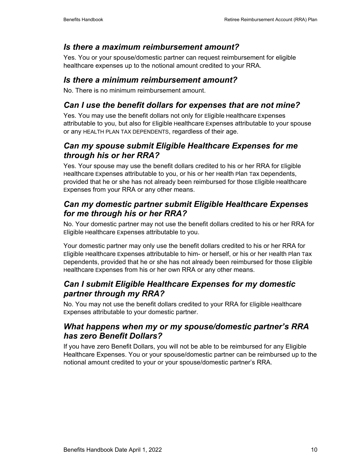#### *Is there a maximum reimbursement amount?*

Yes. You or your spouse/domestic partner can request reimbursement for eligible healthcare expenses up to the notional amount credited to your RRA.

#### *Is there a minimum reimbursement amount?*

No. There is no minimum reimbursement amount.

### *Can I use the benefit dollars for expenses that are not mine?*

Yes. You may use the benefit dollars not only for Eligible Healthcare Expenses attributable to you, but also for Eligible Healthcare Expenses attributable to your spouse or any HEALTH PLAN TAX DEPENDENTS, regardless of their age.

### *Can my spouse submit Eligible Healthcare Expenses for me through his or her RRA?*

Yes. Your spouse may use the benefit dollars credited to his or her RRA for Eligible Healthcare Expenses attributable to you, or his or her Health Plan Tax Dependents, provided that he or she has not already been reimbursed for those Eligible Healthcare Expenses from your RRA or any other means.

#### *Can my domestic partner submit Eligible Healthcare Expenses for me through his or her RRA?*

No. Your domestic partner may not use the benefit dollars credited to his or her RRA for Eligible Healthcare Expenses attributable to you.

Your domestic partner may only use the benefit dollars credited to his or her RRA for Eligible Healthcare Expenses attributable to him- or herself, or his or her Health Plan Tax Dependents, provided that he or she has not already been reimbursed for those Eligible Healthcare Expenses from his or her own RRA or any other means.

### *Can I submit Eligible Healthcare Expenses for my domestic partner through my RRA?*

No. You may not use the benefit dollars credited to your RRA for Eligible Healthcare Expenses attributable to your domestic partner.

### *What happens when my or my spouse/domestic partner's RRA has zero Benefit Dollars?*

If you have zero Benefit Dollars, you will not be able to be reimbursed for any Eligible Healthcare Expenses. You or your spouse/domestic partner can be reimbursed up to the notional amount credited to your or your spouse/domestic partner's RRA.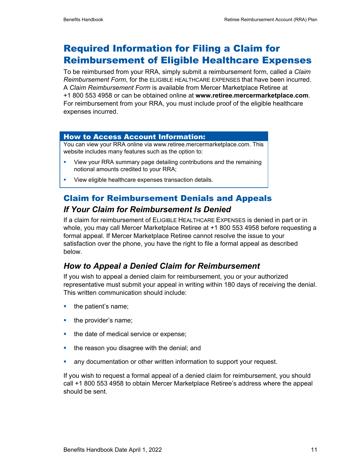# Required Information for Filing a Claim for Reimbursement of Eligible Healthcare Expenses

To be reimbursed from your RRA, simply submit a reimbursement form, called a *Claim Reimbursement Form*, for the ELIGIBLE HEALTHCARE EXPENSES that have been incurred. A *Claim Reimbursement Form* is available from Mercer Marketplace Retiree at +1 800 553 4958 or can be obtained online at **www.retiree.mercermarketplace.com**. For reimbursement from your RRA, you must include proof of the eligible healthcare expenses incurred.

#### How to Access Account Information:

You can view your RRA online via www.retiree.mercermarketplace.com. This website includes many features such as the option to:

- **•** View your RRA summary page detailing contributions and the remaining notional amounts credited to your RRA;
- View eligible healthcare expenses transaction details.

# Claim for Reimbursement Denials and Appeals *If Your Claim for Reimbursement Is Denied*

If a claim for reimbursement of ELIGIBLE HEALTHCARE EXPENSES is denied in part or in whole, you may call Mercer Marketplace Retiree at +1 800 553 4958 before requesting a formal appeal. If Mercer Marketplace Retiree cannot resolve the issue to your satisfaction over the phone, you have the right to file a formal appeal as described below.

### *How to Appeal a Denied Claim for Reimbursement*

If you wish to appeal a denied claim for reimbursement, you or your authorized representative must submit your appeal in writing within 180 days of receiving the denial. This written communication should include:

- the patient's name;
- the provider's name;
- the date of medical service or expense;
- the reason you disagree with the denial; and
- **any documentation or other written information to support your request.**

If you wish to request a formal appeal of a denied claim for reimbursement, you should call +1 800 553 4958 to obtain Mercer Marketplace Retiree's address where the appeal should be sent.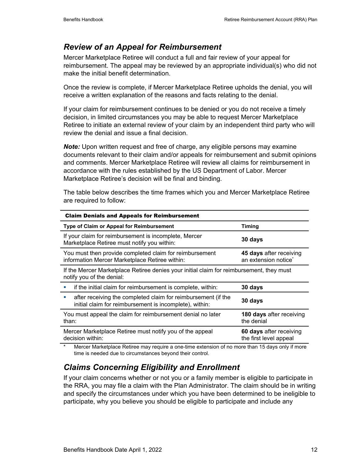### *Review of an Appeal for Reimbursement*

Mercer Marketplace Retiree will conduct a full and fair review of your appeal for reimbursement. The appeal may be reviewed by an appropriate individual(s) who did not make the initial benefit determination.

Once the review is complete, if Mercer Marketplace Retiree upholds the denial, you will receive a written explanation of the reasons and facts relating to the denial.

If your claim for reimbursement continues to be denied or you do not receive a timely decision, in limited circumstances you may be able to request Mercer Marketplace Retiree to initiate an external review of your claim by an independent third party who will review the denial and issue a final decision.

*Note:* Upon written request and free of charge, any eligible persons may examine documents relevant to their claim and/or appeals for reimbursement and submit opinions and comments. Mercer Marketplace Retiree will review all claims for reimbursement in accordance with the rules established by the US Department of Labor. Mercer Marketplace Retiree's decision will be final and binding.

The table below describes the time frames which you and Mercer Marketplace Retiree are required to follow:

| <b>Claim Denials and Appeals for Reimbursement</b>                                                                            |                                                             |  |
|-------------------------------------------------------------------------------------------------------------------------------|-------------------------------------------------------------|--|
| Type of Claim or Appeal for Reimbursement                                                                                     | Timing                                                      |  |
| If your claim for reimbursement is incomplete, Mercer<br>Marketplace Retiree must notify you within:                          | 30 days                                                     |  |
| You must then provide completed claim for reimbursement<br>information Mercer Marketplace Retiree within:                     | 45 days after receiving<br>an extension notice <sup>*</sup> |  |
| If the Mercer Marketplace Retiree denies your initial claim for reimbursement, they must<br>notify you of the denial:         |                                                             |  |
| if the initial claim for reimbursement is complete, within:<br>ш                                                              | 30 days                                                     |  |
| after receiving the completed claim for reimbursement (if the<br>×<br>initial claim for reimbursement is incomplete), within: | 30 days                                                     |  |
| You must appeal the claim for reimbursement denial no later<br>than:                                                          | 180 days after receiving<br>the denial                      |  |
| Mercer Marketplace Retiree must notify you of the appeal<br>decision within:                                                  | 60 days after receiving<br>the first level appeal           |  |

Mercer Marketplace Retiree may require a one-time extension of no more than 15 days only if more time is needed due to circumstances beyond their control.

# *Claims Concerning Eligibility and Enrollment*

If your claim concerns whether or not you or a family member is eligible to participate in the RRA, you may file a claim with the Plan Administrator. The claim should be in writing and specify the circumstances under which you have been determined to be ineligible to participate, why you believe you should be eligible to participate and include any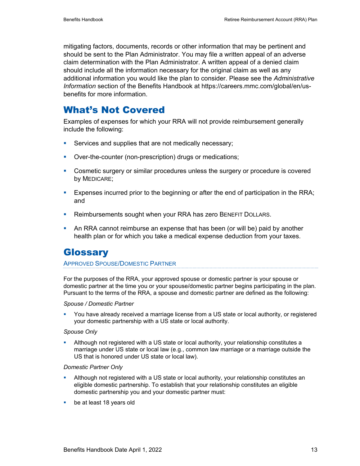mitigating factors, documents, records or other information that may be pertinent and should be sent to the Plan Administrator. You may file a written appeal of an adverse claim determination with the Plan Administrator. A written appeal of a denied claim should include all the information necessary for the original claim as well as any additional information you would like the plan to consider. Please see the *Administrative Information* section of the Benefits Handbook at https://careers.mmc.com/global/en/usbenefits for more information.

# What's Not Covered

Examples of expenses for which your RRA will not provide reimbursement generally include the following:

- Services and supplies that are not medically necessary;
- Over-the-counter (non-prescription) drugs or medications;
- Cosmetic surgery or similar procedures unless the surgery or procedure is covered by MEDICARE;
- **Expenses incurred prior to the beginning or after the end of participation in the RRA;** and
- **Reimbursements sought when your RRA has zero BENEFIT DOLLARS.**
- An RRA cannot reimburse an expense that has been (or will be) paid by another health plan or for which you take a medical expense deduction from your taxes.

# **Glossary**

#### APPROVED SPOUSE/DOMESTIC PARTNER

For the purposes of the RRA, your approved spouse or domestic partner is your spouse or domestic partner at the time you or your spouse/domestic partner begins participating in the plan. Pursuant to the terms of the RRA, a spouse and domestic partner are defined as the following:

#### *Spouse / Domestic Partner*

 You have already received a marriage license from a US state or local authority, or registered your domestic partnership with a US state or local authority.

#### *Spouse Only*

 Although not registered with a US state or local authority, your relationship constitutes a marriage under US state or local law (e.g., common law marriage or a marriage outside the US that is honored under US state or local law).

#### *Domestic Partner Only*

- Although not registered with a US state or local authority, your relationship constitutes an eligible domestic partnership. To establish that your relationship constitutes an eligible domestic partnership you and your domestic partner must:
- **be at least 18 years old**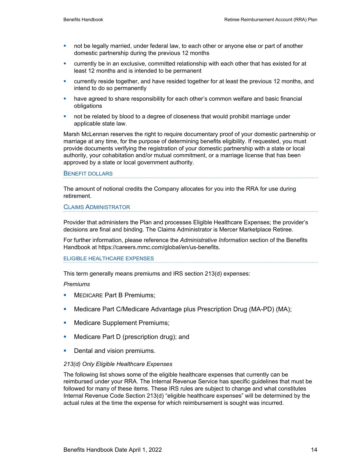- not be legally married, under federal law, to each other or anyone else or part of another domestic partnership during the previous 12 months
- currently be in an exclusive, committed relationship with each other that has existed for at least 12 months and is intended to be permanent
- currently reside together, and have resided together for at least the previous 12 months, and intend to do so permanently
- **•** have agreed to share responsibility for each other's common welfare and basic financial obligations
- not be related by blood to a degree of closeness that would prohibit marriage under applicable state law.

Marsh McLennan reserves the right to require documentary proof of your domestic partnership or marriage at any time, for the purpose of determining benefits eligibility. If requested, you must provide documents verifying the registration of your domestic partnership with a state or local authority, your cohabitation and/or mutual commitment, or a marriage license that has been approved by a state or local government authority.

#### BENEFIT DOLLARS

The amount of notional credits the Company allocates for you into the RRA for use during retirement.

#### CLAIMS ADMINISTRATOR

Provider that administers the Plan and processes Eligible Healthcare Expenses; the provider's decisions are final and binding. The Claims Administrator is Mercer Marketplace Retiree.

For further information, please reference the *Administrative Information* section of the Benefits Handbook at https://careers.mmc.com/global/en/us-benefits.

#### ELIGIBLE HEALTHCARE EXPENSES

This term generally means premiums and IRS section 213(d) expenses:

#### *Premiums*

- MEDICARE Part B Premiums;
- Medicare Part C/Medicare Advantage plus Prescription Drug (MA-PD) (MA);
- Medicare Supplement Premiums;
- Medicare Part D (prescription drug); and
- **Dental and vision premiums.**

#### *213(d) Only Eligible Healthcare Expenses*

The following list shows some of the eligible healthcare expenses that currently can be reimbursed under your RRA. The Internal Revenue Service has specific guidelines that must be followed for many of these items. These IRS rules are subject to change and what constitutes Internal Revenue Code Section 213(d) "eligible healthcare expenses" will be determined by the actual rules at the time the expense for which reimbursement is sought was incurred.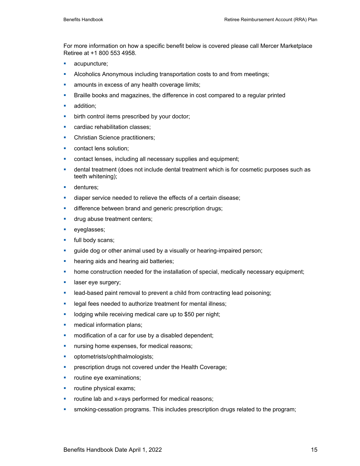For more information on how a specific benefit below is covered please call Mercer Marketplace Retiree at +1 800 553 4958.

- **acupuncture;**
- Alcoholics Anonymous including transportation costs to and from meetings;
- **amounts in excess of any health coverage limits;**
- **Braille books and magazines, the difference in cost compared to a regular printed**
- **addition:**
- **•** birth control items prescribed by your doctor;
- **EXEC** cardiac rehabilitation classes:
- Christian Science practitioners;
- **contact lens solution;**
- **EXECONTERENT CONTERENT** contact lenses, including all necessary supplies and equipment;
- **•** dental treatment (does not include dental treatment which is for cosmetic purposes such as teeth whitening);
- **dentures**;
- **diaper service needed to relieve the effects of a certain disease;**
- **difference between brand and generic prescription drugs;**
- **drug abuse treatment centers;**
- **eyeglasses**;
- **full body scans;**
- **guide dog or other animal used by a visually or hearing-impaired person;**
- **•** hearing aids and hearing aid batteries;
- **•** home construction needed for the installation of special, medically necessary equipment;
- **laser eye surgery;**
- **EXED** lead-based paint removal to prevent a child from contracting lead poisoning;
- **-** legal fees needed to authorize treatment for mental illness;
- **-** lodging while receiving medical care up to \$50 per night;
- **n** medical information plans;
- **•** modification of a car for use by a disabled dependent;
- **nursing home expenses, for medical reasons;**
- **•** optometrists/ophthalmologists;
- prescription drugs not covered under the Health Coverage;
- **•** routine eye examinations;
- **•** routine physical exams;
- **•** routine lab and x-rays performed for medical reasons;
- smoking-cessation programs. This includes prescription drugs related to the program;